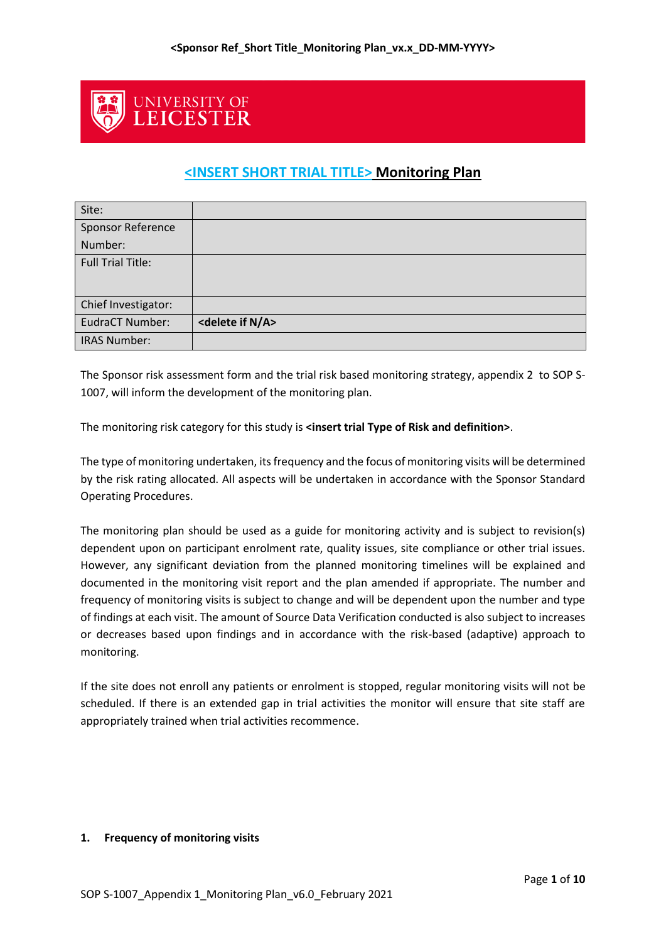

# **<INSERT SHORT TRIAL TITLE> Monitoring Plan**

| Site:                    |                                   |
|--------------------------|-----------------------------------|
| <b>Sponsor Reference</b> |                                   |
| Number:                  |                                   |
| <b>Full Trial Title:</b> |                                   |
|                          |                                   |
| Chief Investigator:      |                                   |
| EudraCT Number:          | <delete a="" if="" n=""></delete> |
| <b>IRAS Number:</b>      |                                   |

The Sponsor risk assessment form and the trial risk based monitoring strategy, appendix 2 to SOP S-1007, will inform the development of the monitoring plan.

The monitoring risk category for this study is **<insert trial Type of Risk and definition>**.

The type of monitoring undertaken, its frequency and the focus of monitoring visits will be determined by the risk rating allocated. All aspects will be undertaken in accordance with the Sponsor Standard Operating Procedures.

The monitoring plan should be used as a guide for monitoring activity and is subject to revision(s) dependent upon on participant enrolment rate, quality issues, site compliance or other trial issues. However, any significant deviation from the planned monitoring timelines will be explained and documented in the monitoring visit report and the plan amended if appropriate. The number and frequency of monitoring visits is subject to change and will be dependent upon the number and type of findings at each visit. The amount of Source Data Verification conducted is also subject to increases or decreases based upon findings and in accordance with the risk-based (adaptive) approach to monitoring.

If the site does not enroll any patients or enrolment is stopped, regular monitoring visits will not be scheduled. If there is an extended gap in trial activities the monitor will ensure that site staff are appropriately trained when trial activities recommence.

# **1. Frequency of monitoring visits**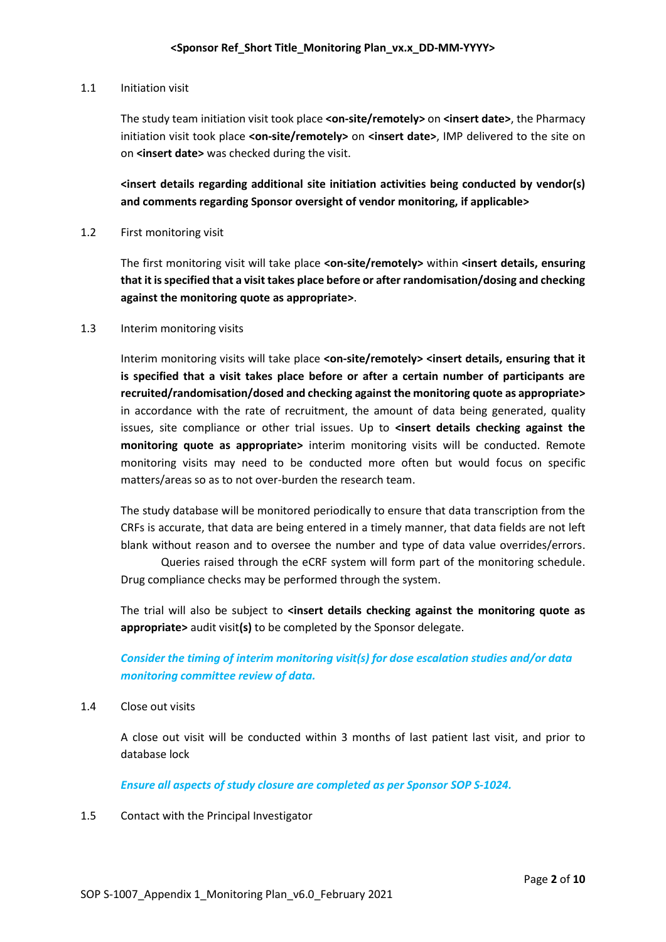#### 1.1 Initiation visit

The study team initiation visit took place **<on-site/remotely>** on **<insert date>**, the Pharmacy initiation visit took place <on-site/remotely> on <insert date>, IMP delivered to the site on on **<insert date>** was checked during the visit.

**<insert details regarding additional site initiation activities being conducted by vendor(s) and comments regarding Sponsor oversight of vendor monitoring, if applicable>**

1.2 First monitoring visit

The first monitoring visit will take place **<on-site/remotely>** within **<insert details, ensuring that it is specified that a visit takes place before or after randomisation/dosing and checking against the monitoring quote as appropriate>**.

#### 1.3 Interim monitoring visits

Interim monitoring visits will take place **<on-site/remotely> <insert details, ensuring that it is specified that a visit takes place before or after a certain number of participants are recruited/randomisation/dosed and checking against the monitoring quote as appropriate>** in accordance with the rate of recruitment, the amount of data being generated, quality issues, site compliance or other trial issues. Up to **<insert details checking against the monitoring quote as appropriate>** interim monitoring visits will be conducted. Remote monitoring visits may need to be conducted more often but would focus on specific matters/areas so as to not over-burden the research team.

The study database will be monitored periodically to ensure that data transcription from the CRFs is accurate, that data are being entered in a timely manner, that data fields are not left blank without reason and to oversee the number and type of data value overrides/errors.

Queries raised through the eCRF system will form part of the monitoring schedule. Drug compliance checks may be performed through the system.

The trial will also be subject to **<insert details checking against the monitoring quote as appropriate>** audit visit**(s)** to be completed by the Sponsor delegate.

*Consider the timing of interim monitoring visit(s) for dose escalation studies and/or data monitoring committee review of data.*

1.4 Close out visits

A close out visit will be conducted within 3 months of last patient last visit, and prior to database lock

*Ensure all aspects of study closure are completed as per Sponsor SOP S-1024.*

1.5 Contact with the Principal Investigator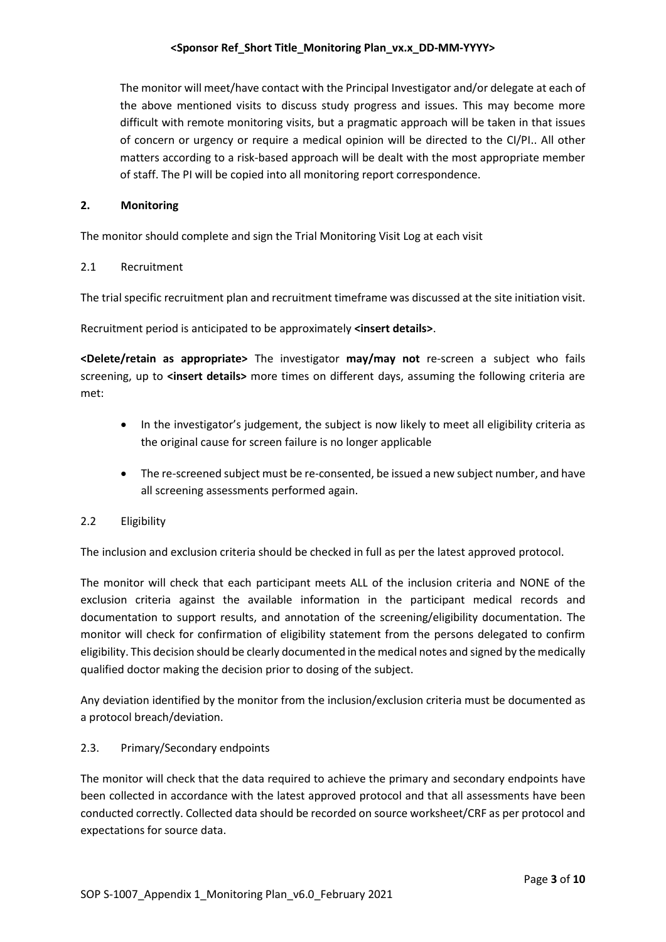The monitor will meet/have contact with the Principal Investigator and/or delegate at each of the above mentioned visits to discuss study progress and issues. This may become more difficult with remote monitoring visits, but a pragmatic approach will be taken in that issues of concern or urgency or require a medical opinion will be directed to the CI/PI.. All other matters according to a risk-based approach will be dealt with the most appropriate member of staff. The PI will be copied into all monitoring report correspondence.

#### **2. Monitoring**

The monitor should complete and sign the Trial Monitoring Visit Log at each visit

#### 2.1 Recruitment

The trial specific recruitment plan and recruitment timeframe was discussed at the site initiation visit.

Recruitment period is anticipated to be approximately **<insert details>**.

**<Delete/retain as appropriate>** The investigator **may/may not** re-screen a subject who fails screening, up to **<insert details>** more times on different days, assuming the following criteria are met:

- In the investigator's judgement, the subject is now likely to meet all eligibility criteria as the original cause for screen failure is no longer applicable
- The re-screened subject must be re-consented, be issued a new subject number, and have all screening assessments performed again.

# 2.2 Eligibility

The inclusion and exclusion criteria should be checked in full as per the latest approved protocol.

The monitor will check that each participant meets ALL of the inclusion criteria and NONE of the exclusion criteria against the available information in the participant medical records and documentation to support results, and annotation of the screening/eligibility documentation. The monitor will check for confirmation of eligibility statement from the persons delegated to confirm eligibility. This decision should be clearly documented in the medical notes and signed by the medically qualified doctor making the decision prior to dosing of the subject.

Any deviation identified by the monitor from the inclusion/exclusion criteria must be documented as a protocol breach/deviation.

# 2.3. Primary/Secondary endpoints

The monitor will check that the data required to achieve the primary and secondary endpoints have been collected in accordance with the latest approved protocol and that all assessments have been conducted correctly. Collected data should be recorded on source worksheet/CRF as per protocol and expectations for source data.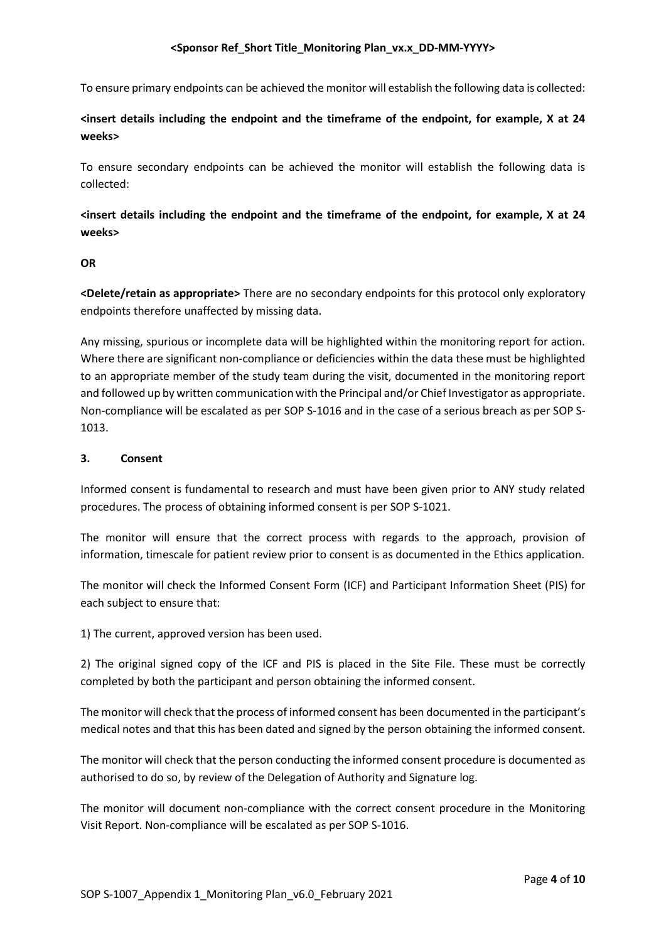To ensure primary endpoints can be achieved the monitor will establish the following data is collected:

**<insert details including the endpoint and the timeframe of the endpoint, for example, X at 24 weeks>**

To ensure secondary endpoints can be achieved the monitor will establish the following data is collected:

**<insert details including the endpoint and the timeframe of the endpoint, for example, X at 24 weeks>**

#### **OR**

**<Delete/retain as appropriate>** There are no secondary endpoints for this protocol only exploratory endpoints therefore unaffected by missing data.

Any missing, spurious or incomplete data will be highlighted within the monitoring report for action. Where there are significant non-compliance or deficiencies within the data these must be highlighted to an appropriate member of the study team during the visit, documented in the monitoring report and followed up by written communication with the Principal and/or Chief Investigator as appropriate. Non-compliance will be escalated as per SOP S-1016 and in the case of a serious breach as per SOP S-1013.

# **3. Consent**

Informed consent is fundamental to research and must have been given prior to ANY study related procedures. The process of obtaining informed consent is per SOP S-1021.

The monitor will ensure that the correct process with regards to the approach, provision of information, timescale for patient review prior to consent is as documented in the Ethics application.

The monitor will check the Informed Consent Form (ICF) and Participant Information Sheet (PIS) for each subject to ensure that:

1) The current, approved version has been used.

2) The original signed copy of the ICF and PIS is placed in the Site File. These must be correctly completed by both the participant and person obtaining the informed consent.

The monitor will check that the process of informed consent has been documented in the participant's medical notes and that this has been dated and signed by the person obtaining the informed consent.

The monitor will check that the person conducting the informed consent procedure is documented as authorised to do so, by review of the Delegation of Authority and Signature log.

The monitor will document non-compliance with the correct consent procedure in the Monitoring Visit Report. Non-compliance will be escalated as per SOP S-1016.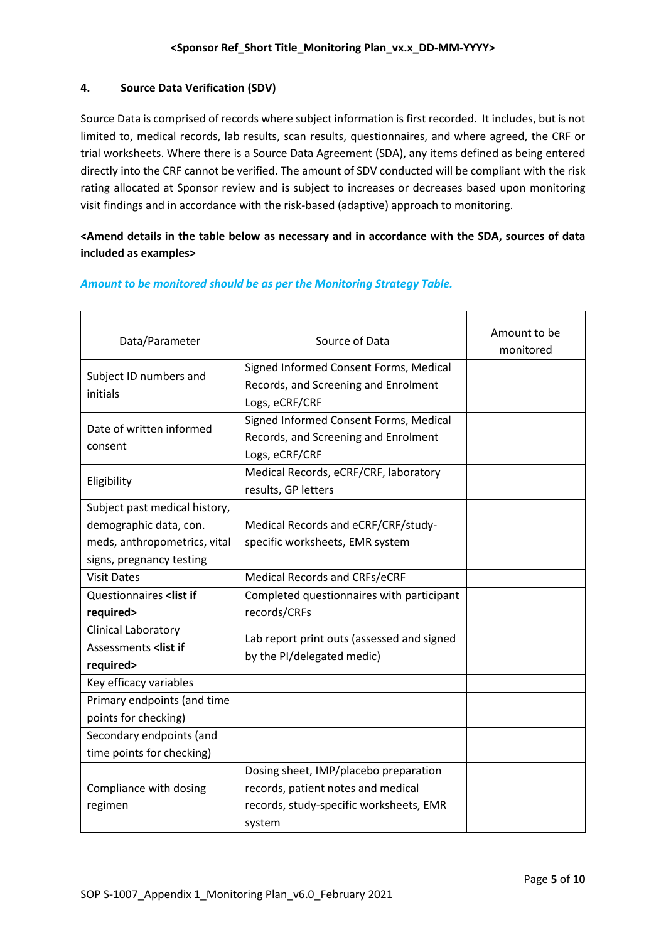# **4. Source Data Verification (SDV)**

Source Data is comprised of records where subject information is first recorded. It includes, but is not limited to, medical records, lab results, scan results, questionnaires, and where agreed, the CRF or trial worksheets. Where there is a Source Data Agreement (SDA), any items defined as being entered directly into the CRF cannot be verified. The amount of SDV conducted will be compliant with the risk rating allocated at Sponsor review and is subject to increases or decreases based upon monitoring visit findings and in accordance with the risk-based (adaptive) approach to monitoring.

# **<Amend details in the table below as necessary and in accordance with the SDA, sources of data included as examples>**

| Data/Parameter                                                                                       | Source of Data                             | Amount to be<br>monitored |
|------------------------------------------------------------------------------------------------------|--------------------------------------------|---------------------------|
| Subject ID numbers and                                                                               | Signed Informed Consent Forms, Medical     |                           |
| initials                                                                                             | Records, and Screening and Enrolment       |                           |
|                                                                                                      | Logs, eCRF/CRF                             |                           |
| Date of written informed                                                                             | Signed Informed Consent Forms, Medical     |                           |
| consent                                                                                              | Records, and Screening and Enrolment       |                           |
|                                                                                                      | Logs, eCRF/CRF                             |                           |
| Eligibility                                                                                          | Medical Records, eCRF/CRF, laboratory      |                           |
|                                                                                                      | results, GP letters                        |                           |
| Subject past medical history,                                                                        |                                            |                           |
| demographic data, con.                                                                               | Medical Records and eCRF/CRF/study-        |                           |
| meds, anthropometrics, vital                                                                         | specific worksheets, EMR system            |                           |
| signs, pregnancy testing                                                                             |                                            |                           |
| <b>Visit Dates</b>                                                                                   | Medical Records and CRFs/eCRF              |                           |
| Questionnaires <list if<="" td=""><td>Completed questionnaires with participant</td><td></td></list> | Completed questionnaires with participant  |                           |
| required>                                                                                            | records/CRFs                               |                           |
| Clinical Laboratory                                                                                  | Lab report print outs (assessed and signed |                           |
| Assessments <list if<="" td=""><td>by the PI/delegated medic)</td><td></td></list>                   | by the PI/delegated medic)                 |                           |
| required>                                                                                            |                                            |                           |
| Key efficacy variables                                                                               |                                            |                           |
| Primary endpoints (and time                                                                          |                                            |                           |
| points for checking)                                                                                 |                                            |                           |
| Secondary endpoints (and                                                                             |                                            |                           |
| time points for checking)                                                                            |                                            |                           |
|                                                                                                      | Dosing sheet, IMP/placebo preparation      |                           |
| Compliance with dosing                                                                               | records, patient notes and medical         |                           |
| regimen                                                                                              | records, study-specific worksheets, EMR    |                           |
|                                                                                                      | system                                     |                           |

# *Amount to be monitored should be as per the Monitoring Strategy Table.*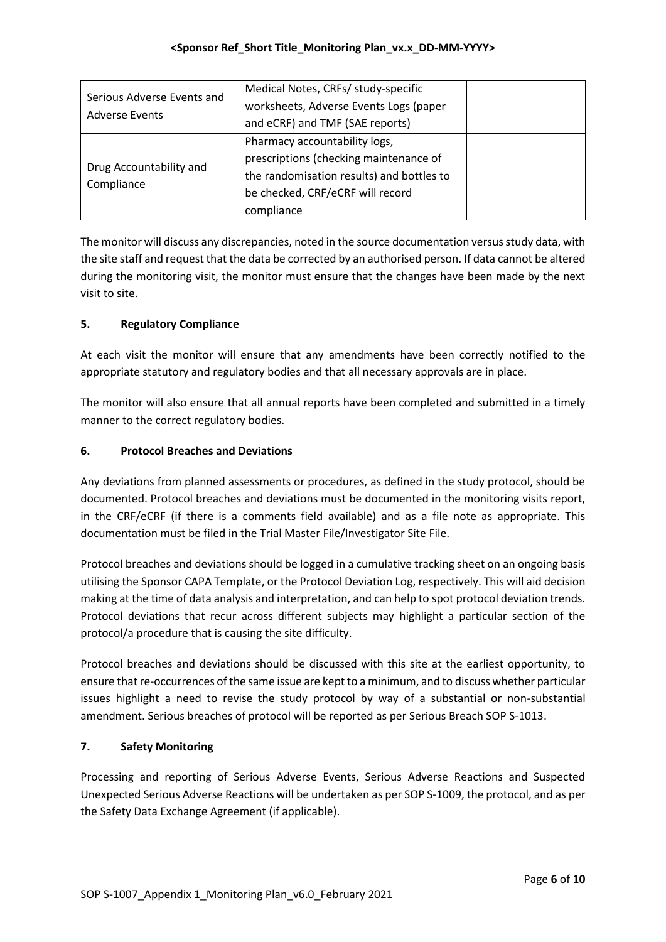| Serious Adverse Events and<br><b>Adverse Events</b> | Medical Notes, CRFs/ study-specific<br>worksheets, Adverse Events Logs (paper<br>and eCRF) and TMF (SAE reports)                                                       |  |
|-----------------------------------------------------|------------------------------------------------------------------------------------------------------------------------------------------------------------------------|--|
| Drug Accountability and<br>Compliance               | Pharmacy accountability logs,<br>prescriptions (checking maintenance of<br>the randomisation results) and bottles to<br>be checked, CRF/eCRF will record<br>compliance |  |

The monitor will discuss any discrepancies, noted in the source documentation versus study data, with the site staff and request that the data be corrected by an authorised person. If data cannot be altered during the monitoring visit, the monitor must ensure that the changes have been made by the next visit to site.

# **5. Regulatory Compliance**

At each visit the monitor will ensure that any amendments have been correctly notified to the appropriate statutory and regulatory bodies and that all necessary approvals are in place.

The monitor will also ensure that all annual reports have been completed and submitted in a timely manner to the correct regulatory bodies.

# **6. Protocol Breaches and Deviations**

Any deviations from planned assessments or procedures, as defined in the study protocol, should be documented. Protocol breaches and deviations must be documented in the monitoring visits report, in the CRF/eCRF (if there is a comments field available) and as a file note as appropriate. This documentation must be filed in the Trial Master File/Investigator Site File.

Protocol breaches and deviations should be logged in a cumulative tracking sheet on an ongoing basis utilising the Sponsor CAPA Template, or the Protocol Deviation Log, respectively. This will aid decision making at the time of data analysis and interpretation, and can help to spot protocol deviation trends. Protocol deviations that recur across different subjects may highlight a particular section of the protocol/a procedure that is causing the site difficulty.

Protocol breaches and deviations should be discussed with this site at the earliest opportunity, to ensure that re-occurrences of the same issue are kept to a minimum, and to discuss whether particular issues highlight a need to revise the study protocol by way of a substantial or non-substantial amendment. Serious breaches of protocol will be reported as per Serious Breach SOP S-1013.

# **7. Safety Monitoring**

Processing and reporting of Serious Adverse Events, Serious Adverse Reactions and Suspected Unexpected Serious Adverse Reactions will be undertaken as per SOP S-1009, the protocol, and as per the Safety Data Exchange Agreement (if applicable).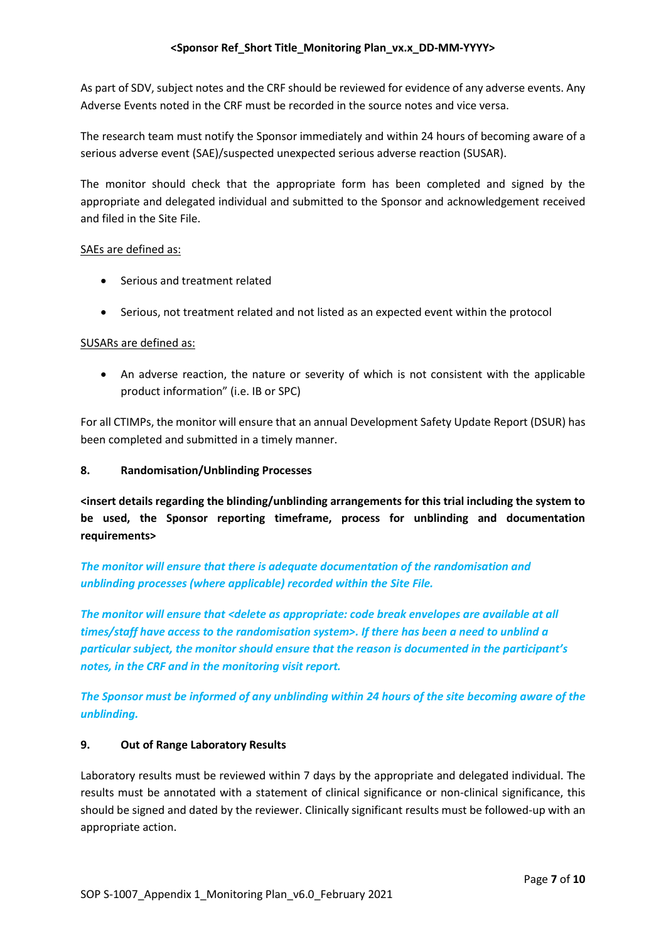As part of SDV, subject notes and the CRF should be reviewed for evidence of any adverse events. Any Adverse Events noted in the CRF must be recorded in the source notes and vice versa.

The research team must notify the Sponsor immediately and within 24 hours of becoming aware of a serious adverse event (SAE)/suspected unexpected serious adverse reaction (SUSAR).

The monitor should check that the appropriate form has been completed and signed by the appropriate and delegated individual and submitted to the Sponsor and acknowledgement received and filed in the Site File.

# SAEs are defined as:

- Serious and treatment related
- Serious, not treatment related and not listed as an expected event within the protocol

# SUSARs are defined as:

 An adverse reaction, the nature or severity of which is not consistent with the applicable product information" (i.e. IB or SPC)

For all CTIMPs, the monitor will ensure that an annual Development Safety Update Report (DSUR) has been completed and submitted in a timely manner.

# **8. Randomisation/Unblinding Processes**

**<insert details regarding the blinding/unblinding arrangements for this trial including the system to be used, the Sponsor reporting timeframe, process for unblinding and documentation requirements>**

*The monitor will ensure that there is adequate documentation of the randomisation and unblinding processes (where applicable) recorded within the Site File.* 

*The monitor will ensure that <delete as appropriate: code break envelopes are available at all times/staff have access to the randomisation system>. If there has been a need to unblind a particular subject, the monitor should ensure that the reason is documented in the participant's notes, in the CRF and in the monitoring visit report.*

*The Sponsor must be informed of any unblinding within 24 hours of the site becoming aware of the unblinding.*

# **9. Out of Range Laboratory Results**

Laboratory results must be reviewed within 7 days by the appropriate and delegated individual. The results must be annotated with a statement of clinical significance or non-clinical significance, this should be signed and dated by the reviewer. Clinically significant results must be followed-up with an appropriate action.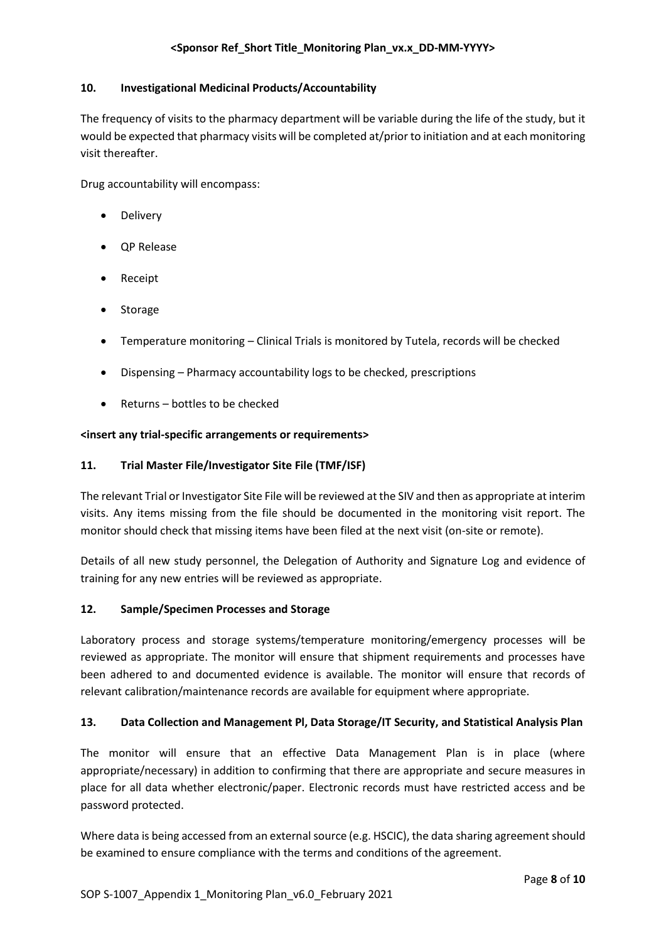# **10. Investigational Medicinal Products/Accountability**

The frequency of visits to the pharmacy department will be variable during the life of the study, but it would be expected that pharmacy visits will be completed at/prior to initiation and at each monitoring visit thereafter.

Drug accountability will encompass:

- Delivery
- QP Release
- Receipt
- Storage
- Temperature monitoring Clinical Trials is monitored by Tutela, records will be checked
- Dispensing Pharmacy accountability logs to be checked, prescriptions
- Returns bottles to be checked

# **<insert any trial-specific arrangements or requirements>**

# **11. Trial Master File/Investigator Site File (TMF/ISF)**

The relevant Trial or Investigator Site File will be reviewed at the SIV and then as appropriate at interim visits. Any items missing from the file should be documented in the monitoring visit report. The monitor should check that missing items have been filed at the next visit (on-site or remote).

Details of all new study personnel, the Delegation of Authority and Signature Log and evidence of training for any new entries will be reviewed as appropriate.

# **12. Sample/Specimen Processes and Storage**

Laboratory process and storage systems/temperature monitoring/emergency processes will be reviewed as appropriate. The monitor will ensure that shipment requirements and processes have been adhered to and documented evidence is available. The monitor will ensure that records of relevant calibration/maintenance records are available for equipment where appropriate.

# **13. Data Collection and Management Pl, Data Storage/IT Security, and Statistical Analysis Plan**

The monitor will ensure that an effective Data Management Plan is in place (where appropriate/necessary) in addition to confirming that there are appropriate and secure measures in place for all data whether electronic/paper. Electronic records must have restricted access and be password protected.

Where data is being accessed from an external source (e.g. HSCIC), the data sharing agreement should be examined to ensure compliance with the terms and conditions of the agreement.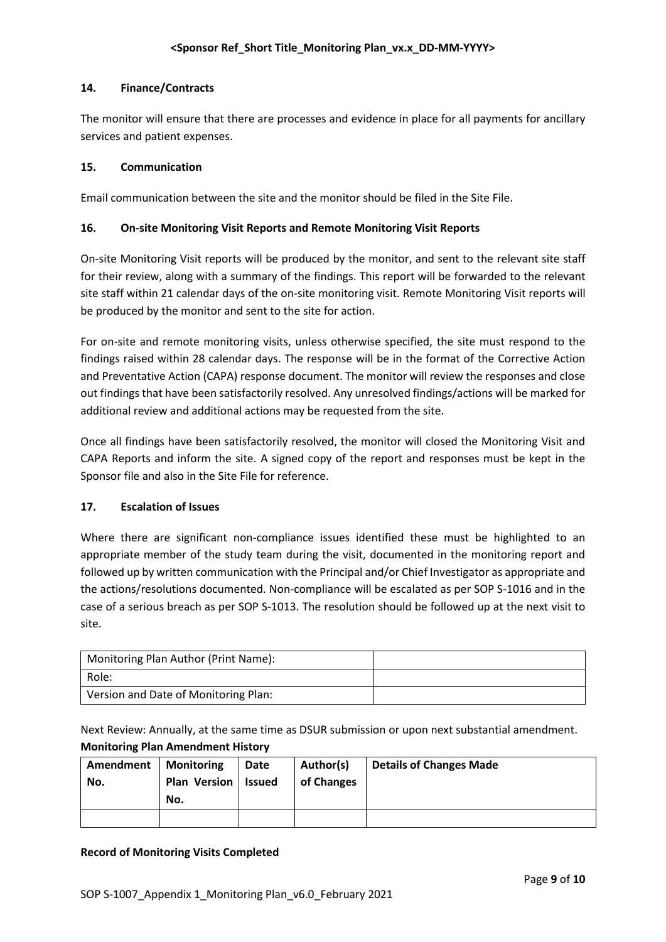# **14. Finance/Contracts**

The monitor will ensure that there are processes and evidence in place for all payments for ancillary services and patient expenses.

# **15. Communication**

Email communication between the site and the monitor should be filed in the Site File.

# **16. On-site Monitoring Visit Reports and Remote Monitoring Visit Reports**

On-site Monitoring Visit reports will be produced by the monitor, and sent to the relevant site staff for their review, along with a summary of the findings. This report will be forwarded to the relevant site staff within 21 calendar days of the on-site monitoring visit. Remote Monitoring Visit reports will be produced by the monitor and sent to the site for action.

For on-site and remote monitoring visits, unless otherwise specified, the site must respond to the findings raised within 28 calendar days. The response will be in the format of the Corrective Action and Preventative Action (CAPA) response document. The monitor will review the responses and close out findings that have been satisfactorily resolved. Any unresolved findings/actions will be marked for additional review and additional actions may be requested from the site.

Once all findings have been satisfactorily resolved, the monitor will closed the Monitoring Visit and CAPA Reports and inform the site. A signed copy of the report and responses must be kept in the Sponsor file and also in the Site File for reference.

# **17. Escalation of Issues**

Where there are significant non-compliance issues identified these must be highlighted to an appropriate member of the study team during the visit, documented in the monitoring report and followed up by written communication with the Principal and/or Chief Investigator as appropriate and the actions/resolutions documented. Non-compliance will be escalated as per SOP S-1016 and in the case of a serious breach as per SOP S-1013. The resolution should be followed up at the next visit to site.

| Monitoring Plan Author (Print Name): |  |
|--------------------------------------|--|
| Role:                                |  |
| Version and Date of Monitoring Plan: |  |

Next Review: Annually, at the same time as DSUR submission or upon next substantial amendment. **Monitoring Plan Amendment History**

| Amendment<br>No. | <b>Monitoring</b><br><b>Plan Version</b><br>No. | Date<br>Issued | Author(s)<br>of Changes | <b>Details of Changes Made</b> |
|------------------|-------------------------------------------------|----------------|-------------------------|--------------------------------|
|                  |                                                 |                |                         |                                |

# **Record of Monitoring Visits Completed**